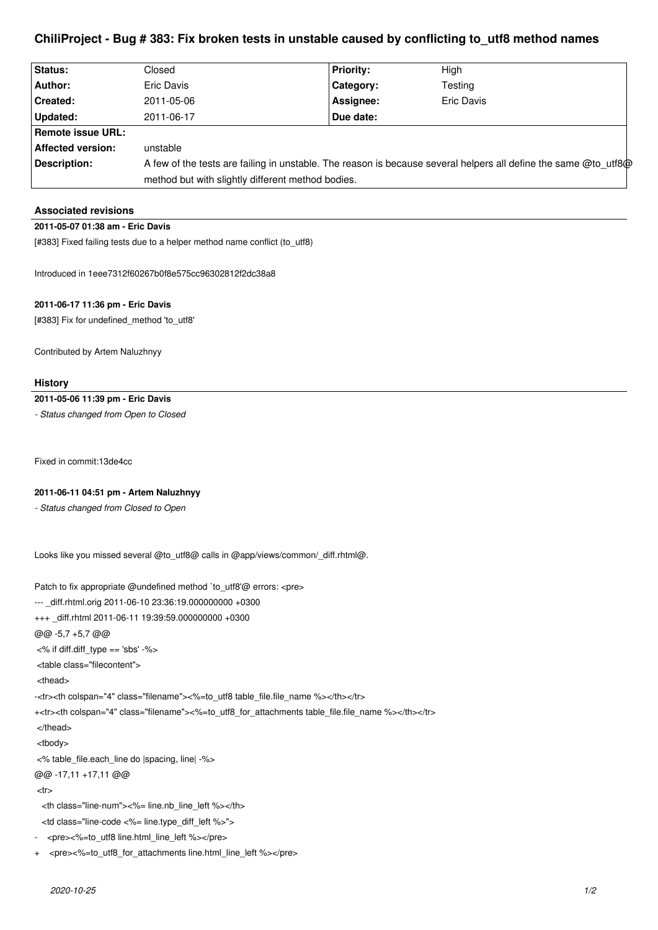# **ChiliProject - Bug # 383: Fix broken tests in unstable caused by conflicting to\_utf8 method names**

| <b>Status:</b>           | Closed                                                                                                          | <b>Priority:</b> | High              |
|--------------------------|-----------------------------------------------------------------------------------------------------------------|------------------|-------------------|
| Author:                  | Eric Davis                                                                                                      | Category:        | Testing           |
| <b>Created:</b>          | 2011-05-06                                                                                                      | Assignee:        | <b>Eric Davis</b> |
| Updated:                 | 2011-06-17                                                                                                      | Due date:        |                   |
| <b>Remote issue URL:</b> |                                                                                                                 |                  |                   |
| <b>Affected version:</b> | unstable                                                                                                        |                  |                   |
| Description:             | A few of the tests are failing in unstable. The reason is because several helpers all define the same @to utf8@ |                  |                   |
|                          | method but with slightly different method bodies.                                                               |                  |                   |

# **Associated revisions**

# **2011-05-07 01:38 am - Eric Davis**

[#383] Fixed failing tests due to a helper method name conflict (to\_utf8)

Introduced in 1eee7312f60267b0f8e575cc96302812f2dc38a8

# **2011-06-17 11:36 pm - Eric Davis**

[#383] Fix for undefined\_method 'to\_utf8'

Contributed by Artem Naluzhnyy

#### **History**

### **2011-05-06 11:39 pm - Eric Davis**

*- Status changed from Open to Closed*

Fixed in commit:13de4cc

# **2011-06-11 04:51 pm - Artem Naluzhnyy**

*- Status changed from Closed to Open*

Looks like you missed several @to\_utf8@ calls in @app/views/common/\_diff.rhtml@.

Patch to fix appropriate @undefined method 'to\_utf8'@ errors: <pre> --- \_diff.rhtml.orig 2011-06-10 23:36:19.000000000 +0300 +++ \_diff.rhtml 2011-06-11 19:39:59.000000000 +0300 @@ -5,7 +5,7 @@ <% if diff.diff\_type == 'sbs' -%> <table class="filecontent"> <thead> -<tr><th colspan="4" class="filename"><%=to\_utf8 table\_file.file\_name %></th></tr> +<tr><th colspan="4" class="filename"><%=to\_utf8\_for\_attachments table\_file.file\_name %></th></tr> </thead> <tbody> <% table\_file.each\_line do |spacing, line| -%> @@ -17,11 +17,11 @@  $<$ tr $>$  <th class="line-num"><%= line.nb\_line\_left %></th> <td class="line-code <%= line.type\_diff\_left %>"> - <pre><%=to\_utf8 line.html\_line\_left %></pre> + <pre><%=to\_utf8\_for\_attachments line.html\_line\_left %></pre>